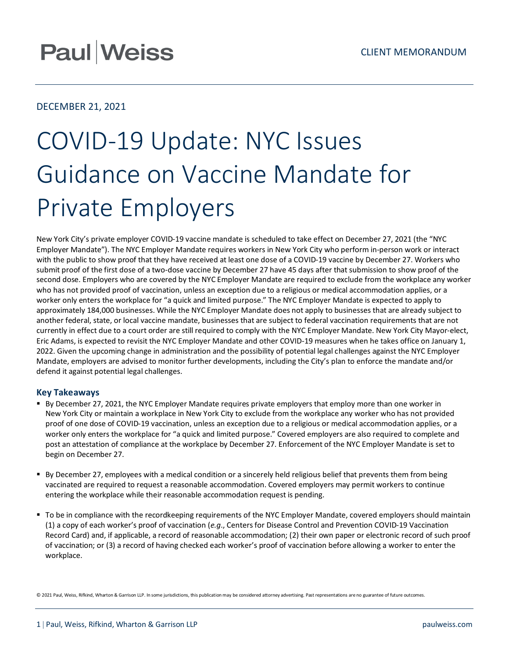## **Paul Weiss**

### DECEMBER 21, 2021

# COVID-19 Update: NYC Issues Guidance on Vaccine Mandate for Private Employers

New York City's private employer COVID-19 vaccine mandate is scheduled to take effect on December 27, 2021 (the "NYC Employer Mandate"). The NYC Employer Mandate requires workers in New York City who perform in-person work or interact with the public to show proof that they have received at least one dose of a COVID-19 vaccine by December 27. Workers who submit proof of the first dose of a two-dose vaccine by December 27 have 45 days after that submission to show proof of the second dose. Employers who are covered by the NYC Employer Mandate are required to exclude from the workplace any worker who has not provided proof of vaccination, unless an exception due to a religious or medical accommodation applies, or a worker only enters the workplace for "a quick and limited purpose." The NYC Employer Mandate is expected to apply to approximately 184,000 businesses. While the NYC Employer Mandate does not apply to businesses that are already subject to another federal, state, or local vaccine mandate, businesses that are subject to federal vaccination requirements that are not currently in effect due to a court order are still required to comply with the NYC Employer Mandate. New York City Mayor-elect, Eric Adams, is expected to revisit the NYC Employer Mandate and other COVID-19 measures when he takes office on January 1, 2022. Given the upcoming change in administration and the possibility of potential legal challenges against the NYC Employer Mandate, employers are advised to monitor further developments, including the City's plan to enforce the mandate and/or defend it against potential legal challenges.

#### **Key Takeaways**

- By December 27, 2021, the NYC Employer Mandate requires private employers that employ more than one worker in New York City or maintain a workplace in New York City to exclude from the workplace any worker who has not provided proof of one dose of COVID-19 vaccination, unless an exception due to a religious or medical accommodation applies, or a worker only enters the workplace for "a quick and limited purpose." Covered employers are also required to complete and post an attestation of compliance at the workplace by December 27. Enforcement of the NYC Employer Mandate is set to begin on December 27.
- By December 27, employees with a medical condition or a sincerely held religious belief that prevents them from being vaccinated are required to request a reasonable accommodation. Covered employers may permit workers to continue entering the workplace while their reasonable accommodation request is pending.
- To be in compliance with the recordkeeping requirements of the NYC Employer Mandate, covered employers should maintain (1) a copy of each worker's proof of vaccination (*e.g*., Centers for Disease Control and Prevention COVID-19 Vaccination Record Card) and, if applicable, a record of reasonable accommodation; (2) their own paper or electronic record of such proof of vaccination; or (3) a record of having checked each worker's proof of vaccination before allowing a worker to enter the workplace.

© 2021 Paul, Weiss, Rifkind, Wharton & Garrison LLP. In some jurisdictions, this publication may be considered attorney advertising. Past representations are no guarantee of future outcomes.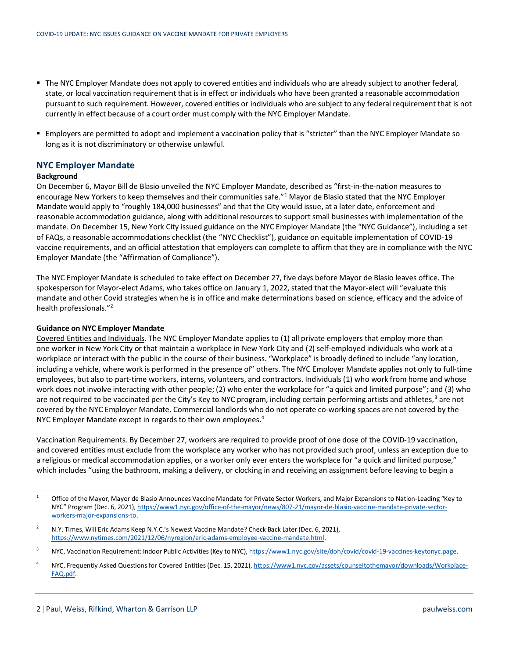- The NYC Employer Mandate does not apply to covered entities and individuals who are already subject to another federal, state, or local vaccination requirement that is in effect or individuals who have been granted a reasonable accommodation pursuant to such requirement. However, covered entities or individuals who are subject to any federal requirement that is not currently in effect because of a court order must comply with the NYC Employer Mandate.
- Employers are permitted to adopt and implement a vaccination policy that is "stricter" than the NYC Employer Mandate so long as it is not discriminatory or otherwise unlawful.

#### **NYC Employer Mandate**

#### **Background**

On December 6, Mayor Bill de Blasio unveiled the NYC Employer Mandate, described as "first-in-the-nation measures to encourage New Yorkers to keep themselves and their communities safe."<sup>[1](#page-1-0)</sup> Mayor de Blasio stated that the NYC Employer Mandate would apply to "roughly 184,000 businesses" and that the City would issue, at a later date, enforcement and reasonable accommodation guidance, along with additional resources to support small businesses with implementation of the mandate. On December 15, New York City issued guidance on the NYC Employer Mandate (the "NYC Guidance"), including a set of FAQs, a reasonable accommodations checklist (the "NYC Checklist"), guidance on equitable implementation of COVID-19 vaccine requirements, and an official attestation that employers can complete to affirm that they are in compliance with the NYC Employer Mandate (the "Affirmation of Compliance").

The NYC Employer Mandate is scheduled to take effect on December 27, five days before Mayor de Blasio leaves office. The spokesperson for Mayor-elect Adams, who takes office on January 1, 2022, stated that the Mayor-elect will "evaluate this mandate and other Covid strategies when he is in office and make determinations based on science, efficacy and the advice of health professionals."[2](#page-1-1)

#### **Guidance on NYC Employer Mandate**

Covered Entities and Individuals. The NYC Employer Mandate applies to (1) all private employers that employ more than one worker in New York City or that maintain a workplace in New York City and (2) self-employed individuals who work at a workplace or interact with the public in the course of their business. "Workplace" is broadly defined to include "any location, including a vehicle, where work is performed in the presence of" others. The NYC Employer Mandate applies not only to full-time employees, but also to part-time workers, interns, volunteers, and contractors. Individuals (1) who work from home and whose work does not involve interacting with other people; (2) who enter the workplace for "a quick and limited purpose"; and (3) who are not required to be vaccinated per the City's Key to NYC program, including certain performing artists and athletes, $3$  are not covered by the NYC Employer Mandate. Commercial landlords who do not operate co-working spaces are not covered by the NYC Employer Mandate except in regards to their own employees.<sup>[4](#page-1-3)</sup>

Vaccination Requirements. By December 27, workers are required to provide proof of one dose of the COVID-19 vaccination, and covered entities must exclude from the workplace any worker who has not provided such proof, unless an exception due to a religious or medical accommodation applies, or a worker only ever enters the workplace for "a quick and limited purpose," which includes "using the bathroom, making a delivery, or clocking in and receiving an assignment before leaving to begin a

<span id="page-1-0"></span><sup>&</sup>lt;sup>1</sup> Office of the Mayor, Mayor de Blasio Announces Vaccine Mandate for Private Sector Workers, and Major Expansions to Nation-Leading "Key to NYC" Program (Dec. 6, 2021)[, https://www1.nyc.gov/office-of-the-mayor/news/807-21/mayor-de-blasio-vaccine-mandate-private-sector](https://www1.nyc.gov/office-of-the-mayor/news/807-21/mayor-de-blasio-vaccine-mandate-private-sector-workers-major-expansions-to)[workers-major-expansions-to.](https://www1.nyc.gov/office-of-the-mayor/news/807-21/mayor-de-blasio-vaccine-mandate-private-sector-workers-major-expansions-to)

<span id="page-1-1"></span><sup>&</sup>lt;sup>2</sup> N.Y. Times, Will Eric Adams Keep N.Y.C.'s Newest Vaccine Mandate? Check Back Later (Dec. 6, 2021), [https://www.nytimes.com/2021/12/06/nyregion/eric-adams-employee-vaccine-mandate.html.](https://www.nytimes.com/2021/12/06/nyregion/eric-adams-employee-vaccine-mandate.html)

<span id="page-1-2"></span><sup>&</sup>lt;sup>3</sup> NYC, Vaccination Requirement: Indoor Public Activities (Key to NYC)[, https://www1.nyc.gov/site/doh/covid/covid-19-vaccines-keytonyc.page.](https://www1.nyc.gov/site/doh/covid/covid-19-vaccines-keytonyc.page)

<span id="page-1-3"></span><sup>4</sup> NYC, Frequently Asked Questions for Covered Entities (Dec. 15, 2021)[, https://www1.nyc.gov/assets/counseltothemayor/downloads/Workplace-](https://www1.nyc.gov/assets/counseltothemayor/downloads/Workplace-FAQ.pdf)[FAQ.pdf.](https://www1.nyc.gov/assets/counseltothemayor/downloads/Workplace-FAQ.pdf)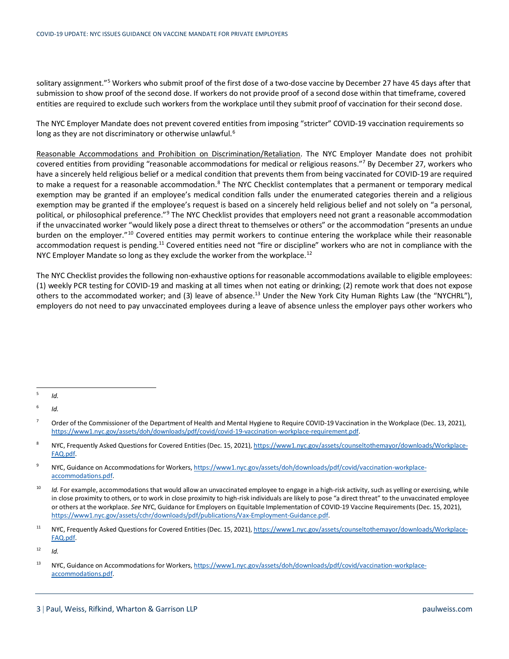solitary assignment."<sup>[5](#page-2-0)</sup> Workers who submit proof of the first dose of a two-dose vaccine by December 27 have 45 days after that submission to show proof of the second dose. If workers do not provide proof of a second dose within that timeframe, covered entities are required to exclude such workers from the workplace until they submit proof of vaccination for their second dose.

The NYC Employer Mandate does not prevent covered entities from imposing "stricter" COVID-19 vaccination requirements so long as they are not discriminatory or otherwise unlawful.<sup>[6](#page-2-1)</sup>

Reasonable Accommodations and Prohibition on Discrimination/Retaliation. The NYC Employer Mandate does not prohibit covered entities from providing "reasonable accommodations for medical or religious reasons."<sup>7</sup> By December 27, workers who have a sincerely held religious belief or a medical condition that prevents them from being vaccinated for COVID-19 are required to make a request for a reasonable accommodation.<sup>[8](#page-2-3)</sup> The NYC Checklist contemplates that a permanent or temporary medical exemption may be granted if an employee's medical condition falls under the enumerated categories therein and a religious exemption may be granted if the employee's request is based on a sincerely held religious belief and not solely on "a personal, political, or philosophical preference."<sup>[9](#page-2-4)</sup> The NYC Checklist provides that employers need not grant a reasonable accommodation if the unvaccinated worker "would likely pose a direct threat to themselves or others" or the accommodation "presents an undue burden on the employer."<sup>[10](#page-2-5)</sup> Covered entities may permit workers to continue entering the workplace while their reasonable accommodation request is pending.<sup>11</sup> Covered entities need not "fire or discipline" workers who are not in compliance with the NYC Employer Mandate so long as they exclude the worker from the workplace.<sup>[12](#page-2-7)</sup>

The NYC Checklist provides the following non-exhaustive options for reasonable accommodations available to eligible employees: (1) weekly PCR testing for COVID-19 and masking at all times when not eating or drinking; (2) remote work that does not expose others to the accommodated worker; and (3) leave of absence.<sup>[13](#page-2-8)</sup> Under the New York City Human Rights Law (the "NYCHRL"), employers do not need to pay unvaccinated employees during a leave of absence unless the employer pays other workers who

<span id="page-2-1"></span> $6$  *Id.* 

<span id="page-2-7"></span> $12$  *Id.* 

<span id="page-2-0"></span> $<sup>5</sup>$  *Id.*</sup>

<span id="page-2-2"></span><sup>&</sup>lt;sup>7</sup> Order of the Commissioner of the Department of Health and Mental Hygiene to Require COVID-19 Vaccination in the Workplace (Dec. 13, 2021), [https://www1.nyc.gov/assets/doh/downloads/pdf/covid/covid-19-vaccination-workplace-requirement.pdf.](https://www1.nyc.gov/assets/doh/downloads/pdf/covid/covid-19-vaccination-workplace-requirement.pdf) 

<span id="page-2-3"></span><sup>8</sup> NYC, Frequently Asked Questions for Covered Entities (Dec. 15, 2021)[, https://www1.nyc.gov/assets/counseltothemayor/downloads/Workplace-](https://www1.nyc.gov/assets/counseltothemayor/downloads/Workplace-FAQ.pdf)[FAQ.pdf.](https://www1.nyc.gov/assets/counseltothemayor/downloads/Workplace-FAQ.pdf)

<span id="page-2-4"></span><sup>&</sup>lt;sup>9</sup> NYC, Guidance on Accommodations for Workers[, https://www1.nyc.gov/assets/doh/downloads/pdf/covid/vaccination-workplace](https://www1.nyc.gov/assets/doh/downloads/pdf/covid/vaccination-workplace-accommodations.pdf)[accommodations.pdf.](https://www1.nyc.gov/assets/doh/downloads/pdf/covid/vaccination-workplace-accommodations.pdf)

<span id="page-2-5"></span><sup>&</sup>lt;sup>10</sup> *Id.* For example, accommodations that would allow an unvaccinated employee to engage in a high-risk activity, such as yelling or exercising, while in close proximity to others, or to work in close proximity to high-risk individuals are likely to pose "a direct threat" to the unvaccinated employee or others at the workplace. *See* NYC, Guidance for Employers on Equitable Implementation of COVID-19 Vaccine Requirements (Dec. 15, 2021), [https://www1.nyc.gov/assets/cchr/downloads/pdf/publications/Vax-Employment-Guidance.pdf.](https://www1.nyc.gov/assets/cchr/downloads/pdf/publications/Vax-Employment-Guidance.pdf)

<span id="page-2-6"></span><sup>&</sup>lt;sup>11</sup> NYC, Frequently Asked Questions for Covered Entities (Dec. 15, 2021)[, https://www1.nyc.gov/assets/counseltothemayor/downloads/Workplace-](https://www1.nyc.gov/assets/counseltothemayor/downloads/Workplace-FAQ.pdf)[FAQ.pdf.](https://www1.nyc.gov/assets/counseltothemayor/downloads/Workplace-FAQ.pdf)

<span id="page-2-8"></span><sup>13</sup> NYC, Guidance on Accommodations for Workers[, https://www1.nyc.gov/assets/doh/downloads/pdf/covid/vaccination-workplace](https://www1.nyc.gov/assets/doh/downloads/pdf/covid/vaccination-workplace-accommodations.pdf)[accommodations.pdf.](https://www1.nyc.gov/assets/doh/downloads/pdf/covid/vaccination-workplace-accommodations.pdf)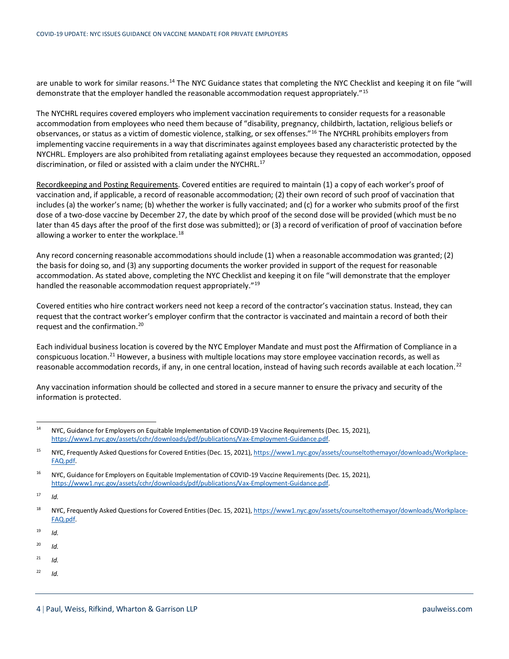are unable to work for similar reasons.<sup>[14](#page-3-0)</sup> The NYC Guidance states that completing the NYC Checklist and keeping it on file "will demonstrate that the employer handled the reasonable accommodation request appropriately."[15](#page-3-1)

The NYCHRL requires covered employers who implement vaccination requirements to consider requests for a reasonable accommodation from employees who need them because of "disability, pregnancy, childbirth, lactation, religious beliefs or observances, or status as a victim of domestic violence, stalking, or sex offenses."[16](#page-3-2) The NYCHRL prohibits employers from implementing vaccine requirements in a way that discriminates against employees based any characteristic protected by the NYCHRL. Employers are also prohibited from retaliating against employees because they requested an accommodation, opposed discrimination, or filed or assisted with a claim under the NYCHRL.<sup>17</sup>

Recordkeeping and Posting Requirements. Covered entities are required to maintain (1) a copy of each worker's proof of vaccination and, if applicable, a record of reasonable accommodation; (2) their own record of such proof of vaccination that includes (a) the worker's name; (b) whether the worker is fully vaccinated; and (c) for a worker who submits proof of the first dose of a two-dose vaccine by December 27, the date by which proof of the second dose will be provided (which must be no later than 45 days after the proof of the first dose was submitted); or (3) a record of verification of proof of vaccination before allowing a worker to enter the workplace.<sup>[18](#page-3-4)</sup>

Any record concerning reasonable accommodations should include (1) when a reasonable accommodation was granted; (2) the basis for doing so, and (3) any supporting documents the worker provided in support of the request for reasonable accommodation. As stated above, completing the NYC Checklist and keeping it on file "will demonstrate that the employer handled the reasonable accommodation request appropriately."<sup>[19](#page-3-5)</sup>

Covered entities who hire contract workers need not keep a record of the contractor's vaccination status. Instead, they can request that the contract worker's employer confirm that the contractor is vaccinated and maintain a record of both their request and the confirmation.[20](#page-3-6)

Each individual business location is covered by the NYC Employer Mandate and must post the Affirmation of Compliance in a conspicuous location.<sup>[21](#page-3-7)</sup> However, a business with multiple locations may store employee vaccination records, as well as reasonable accommodation records, if any, in one central location, instead of having such records available at each location.<sup>[22](#page-3-8)</sup>

Any vaccination information should be collected and stored in a secure manner to ensure the privacy and security of the information is protected.

<span id="page-3-3"></span> $17$  *Id.* 

- <span id="page-3-6"></span><sup>20</sup> *Id.*
- <span id="page-3-7"></span> $^{21}$  *Id.*
- <span id="page-3-8"></span> $^{22}$  *Id.*

<span id="page-3-0"></span><sup>&</sup>lt;sup>14</sup> NYC, Guidance for Employers on Equitable Implementation of COVID-19 Vaccine Requirements (Dec. 15, 2021), [https://www1.nyc.gov/assets/cchr/downloads/pdf/publications/Vax-Employment-Guidance.pdf.](https://www1.nyc.gov/assets/cchr/downloads/pdf/publications/Vax-Employment-Guidance.pdf)

<span id="page-3-1"></span><sup>&</sup>lt;sup>15</sup> NYC, Frequently Asked Questions for Covered Entities (Dec. 15, 2021)[, https://www1.nyc.gov/assets/counseltothemayor/downloads/Workplace-](https://www1.nyc.gov/assets/counseltothemayor/downloads/Workplace-FAQ.pdf)[FAQ.pdf.](https://www1.nyc.gov/assets/counseltothemayor/downloads/Workplace-FAQ.pdf)

<span id="page-3-2"></span><sup>&</sup>lt;sup>16</sup> NYC, Guidance for Employers on Equitable Implementation of COVID-19 Vaccine Requirements (Dec. 15, 2021), [https://www1.nyc.gov/assets/cchr/downloads/pdf/publications/Vax-Employment-Guidance.pdf.](https://www1.nyc.gov/assets/cchr/downloads/pdf/publications/Vax-Employment-Guidance.pdf)

<span id="page-3-4"></span><sup>18</sup> NYC, Frequently Asked Questions for Covered Entities (Dec. 15, 2021)[, https://www1.nyc.gov/assets/counseltothemayor/downloads/Workplace-](https://www1.nyc.gov/assets/counseltothemayor/downloads/Workplace-FAQ.pdf)[FAQ.pdf.](https://www1.nyc.gov/assets/counseltothemayor/downloads/Workplace-FAQ.pdf)

<span id="page-3-5"></span><sup>19</sup> *Id.*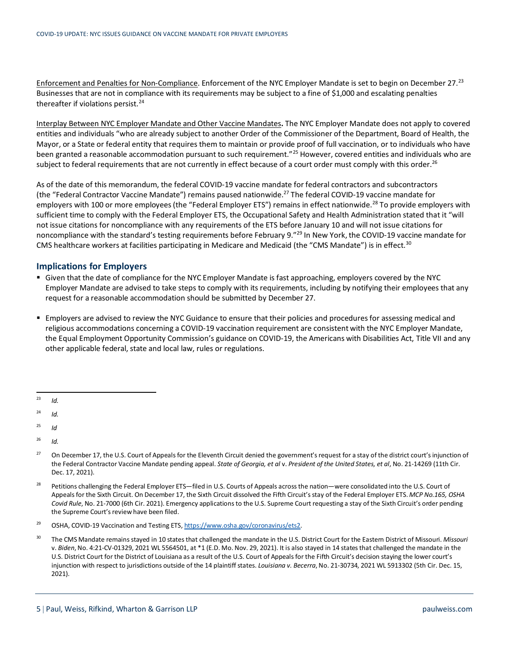Enforcement and Penalties for Non-Compliance. Enforcement of the NYC Employer Mandate is set to begin on December 27.<sup>[23](#page-4-0)</sup> Businesses that are not in compliance with its requirements may be subject to a fine of \$1,000 and escalating penalties thereafter if violations persist. $24$ 

Interplay Between NYC Employer Mandate and Other Vaccine Mandates**.** The NYC Employer Mandate does not apply to covered entities and individuals "who are already subject to another Order of the Commissioner of the Department, Board of Health, the Mayor, or a State or federal entity that requires them to maintain or provide proof of full vaccination, or to individuals who have been granted a reasonable accommodation pursuant to such requirement."<sup>[25](#page-4-2)</sup> However, covered entities and individuals who are subject to federal requirements that are not currently in effect because of a court order must comply with this order.<sup>[26](#page-4-3)</sup>

As of the date of this memorandum, the federal COVID-19 vaccine mandate for federal contractors and subcontractors (the "Federal Contractor Vaccine Mandate") remains paused nationwide.<sup>[27](#page-4-4)</sup> The federal COVID-19 vaccine mandate for employers with 100 or more employees (the "Federal Employer ETS") remains in effect nationwide.<sup>[28](#page-4-5)</sup> To provide employers with sufficient time to comply with the Federal Employer ETS, the Occupational Safety and Health Administration stated that it "will not issue citations for noncompliance with any requirements of the ETS before January 10 and will not issue citations for noncompliance with the standard's testing requirements before February 9."<sup>29</sup> In New York, the COVID-19 vaccine mandate for CMS healthcare workers at facilities participating in Medicare and Medicaid (the "CMS Mandate") is in effect.<sup>[30](#page-4-7)</sup>

#### **Implications for Employers**

- Given that the date of compliance for the NYC Employer Mandate is fast approaching, employers covered by the NYC Employer Mandate are advised to take steps to comply with its requirements, including by notifying their employees that any request for a reasonable accommodation should be submitted by December 27.
- **Employers are advised to review the NYC Guidance to ensure that their policies and procedures for assessing medical and** religious accommodations concerning a COVID-19 vaccination requirement are consistent with the NYC Employer Mandate, the Equal Employment Opportunity Commission's guidance on COVID-19, the Americans with Disabilities Act, Title VII and any other applicable federal, state and local law, rules or regulations.

- <span id="page-4-2"></span><sup>25</sup> *Id*
- <span id="page-4-3"></span> $^{26}$  *Id.*
- <span id="page-4-4"></span> $^{27}$  On December 17, the U.S. Court of Appeals for the Eleventh Circuit denied the government's request for a stay of the district court's injunction of the Federal Contractor Vaccine Mandate pending appeal. *State of Georgia, et al* v. *President of the United States, et al*, No. 21-14269 (11th Cir. Dec. 17, 2021).
- <span id="page-4-5"></span><sup>28</sup> Petitions challenging the Federal Employer ETS—filed in U.S. Courts of Appeals across the nation—were consolidated into the U.S. Court of Appeals for the Sixth Circuit. On December 17, the Sixth Circuit dissolved the Fifth Circuit's stay of the Federal Employer ETS. *MCP No.165, OSHA Covid Rule*, No. 21-7000 (6th Cir. 2021). Emergency applications to the U.S. Supreme Court requesting a stay of the Sixth Circuit's order pending the Supreme Court's review have been filed.
- <span id="page-4-6"></span><sup>29</sup> OSHA, COVID-19 Vaccination and Testing ETS, https://www.osha.gov/coronavirus/ets2.
- <span id="page-4-7"></span><sup>30</sup> The CMS Mandate remains stayed in 10 states that challenged the mandate in the U.S. District Court for the Eastern District of Missouri. *Missouri*  v. *Biden*, No. 4:21-CV-01329, 2021 WL 5564501, at \*1 (E.D. Mo. Nov. 29, 2021). It is also stayed in 14 states that challenged the mandate in the U.S. District Court for the District of Louisiana as a result of the U.S. Court of Appeals for the Fifth Circuit's decision staying the lower court's injunction with respect to jurisdictions outside of the 14 plaintiff states. *Louisiana v. Becerra*, No. 21-30734, 2021 WL 5913302 (5th Cir. Dec. 15, 2021).

<span id="page-4-0"></span> $^{23}$  *Id.* 

<span id="page-4-1"></span> $^{24}$  *Id.*